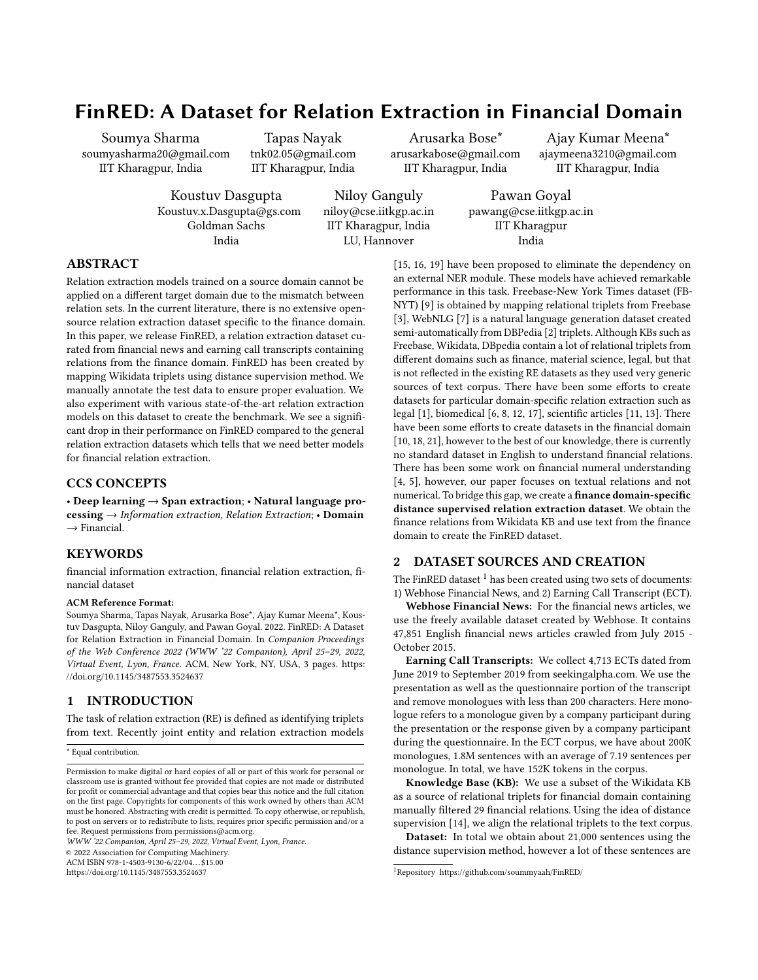# FinRED: A Dataset for Relation Extraction in Financial Domain

Soumya Sharma soumyasharma20@gmail.com IIT Kharagpur, India

Tapas Nayak tnk02.05@gmail.com IIT Kharagpur, India

Arusarka Bose\* arusarkabose@gmail.com IIT Kharagpur, India

Ajay Kumar Meena\* ajaymeena3210@gmail.com IIT Kharagpur, India

Koustuv Dasgupta Koustuv.x.Dasgupta@gs.com Goldman Sachs India

Niloy Ganguly niloy@cse.iitkgp.ac.in IIT Kharagpur, India LU, Hannover

Pawan Goyal pawang@cse.iitkgp.ac.in IIT Kharagpur India

# ABSTRACT

Relation extraction models trained on a source domain cannot be applied on a different target domain due to the mismatch between relation sets. In the current literature, there is no extensive opensource relation extraction dataset specific to the finance domain. In this paper, we release FinRED, a relation extraction dataset curated from financial news and earning call transcripts containing relations from the finance domain. FinRED has been created by mapping Wikidata triplets using distance supervision method. We manually annotate the test data to ensure proper evaluation. We also experiment with various state-of-the-art relation extraction models on this dataset to create the benchmark. We see a significant drop in their performance on FinRED compared to the general relation extraction datasets which tells that we need better models for financial relation extraction.

# CCS CONCEPTS

• Deep learning → Span extraction; • Natural language pro- $\text{cessing} \rightarrow \text{Information extraction}, \text{Relation Extraction}: \text{Domain}$  $\rightarrow$  Financial.

### **KEYWORDS**

financial information extraction, financial relation extraction, financial dataset

#### ACM Reference Format:

Soumya Sharma, Tapas Nayak, Arusarka Bose\*, Ajay Kumar Meena\*, Koustuv Dasgupta, Niloy Ganguly, and Pawan Goyal. 2022. FinRED: A Dataset for Relation Extraction in Financial Domain. In Companion Proceedings of the Web Conference 2022 (WWW '22 Companion), April 25–29, 2022, Virtual Event, Lyon, France. ACM, New York, NY, USA, [3](#page-2-0) pages. [https:](https://doi.org/10.1145/3487553.3524637) [//doi.org/10.1145/3487553.3524637](https://doi.org/10.1145/3487553.3524637)

# 1 INTRODUCTION

The task of relation extraction (RE) is defined as identifying triplets from text. Recently joint entity and relation extraction models

\* Equal contribution.

WWW '22 Companion, April 25–29, 2022, Virtual Event, Lyon, France.

© 2022 Association for Computing Machinery.

ACM ISBN 978-1-4503-9130-6/22/04. . . \$15.00

<https://doi.org/10.1145/3487553.3524637>

[\[15,](#page-2-1) [16,](#page-2-2) [19\]](#page-2-3) have been proposed to eliminate the dependency on an external NER module. These models have achieved remarkable performance in this task. Freebase-New York Times dataset (FB-NYT) [\[9\]](#page-2-4) is obtained by mapping relational triplets from Freebase [\[3\]](#page-2-5), WebNLG [\[7\]](#page-2-6) is a natural language generation dataset created semi-automatically from DBPedia [\[2\]](#page-2-7) triplets. Although KBs such as Freebase, Wikidata, DBpedia contain a lot of relational triplets from different domains such as finance, material science, legal, but that is not reflected in the existing RE datasets as they used very generic sources of text corpus. There have been some efforts to create datasets for particular domain-specific relation extraction such as legal [\[1\]](#page-2-8), biomedical [\[6,](#page-2-9) [8,](#page-2-10) [12,](#page-2-11) [17\]](#page-2-12), scientific articles [\[11,](#page-2-13) [13\]](#page-2-14). There have been some efforts to create datasets in the financial domain [\[10,](#page-2-15) [18,](#page-2-16) [21\]](#page-2-17), however to the best of our knowledge, there is currently no standard dataset in English to understand financial relations. There has been some work on financial numeral understanding [\[4,](#page-2-18) [5\]](#page-2-19), however, our paper focuses on textual relations and not numerical. To bridge this gap, we create a finance domain-specific distance supervised relation extraction dataset. We obtain the finance relations from Wikidata KB and use text from the finance domain to create the FinRED dataset.

## 2 DATASET SOURCES AND CREATION

The FinRED dataset  $1$  has been created using two sets of documents: 1) Webhose Financial News, and 2) Earning Call Transcript (ECT).

Webhose Financial News: For the financial news articles, we use the freely available dataset created by Webhose. It contains 47,851 English financial news articles crawled from July 2015 - October 2015.

Earning Call Transcripts: We collect 4,713 ECTs dated from June 2019 to September 2019 from seekingalpha.com. We use the presentation as well as the questionnaire portion of the transcript and remove monologues with less than 200 characters. Here monologue refers to a monologue given by a company participant during the presentation or the response given by a company participant during the questionnaire. In the ECT corpus, we have about 200K monologues, 1.8M sentences with an average of 7.19 sentences per monologue. In total, we have 152K tokens in the corpus.

Knowledge Base (KB): We use a subset of the Wikidata KB as a source of relational triplets for financial domain containing manually filtered 29 financial relations. Using the idea of distance supervision [\[14\]](#page-2-20), we align the relational triplets to the text corpus.

Dataset: In total we obtain about 21,000 sentences using the distance supervision method, however a lot of these sentences are

Permission to make digital or hard copies of all or part of this work for personal or classroom use is granted without fee provided that copies are not made or distributed for profit or commercial advantage and that copies bear this notice and the full citation on the first page. Copyrights for components of this work owned by others than ACM must be honored. Abstracting with credit is permitted. To copy otherwise, or republish, to post on servers or to redistribute to lists, requires prior specific permission and/or a fee. Request permissions from permissions@acm.org.

<span id="page-0-0"></span><sup>1</sup>Repository<https://github.com/soummyaah/FinRED/>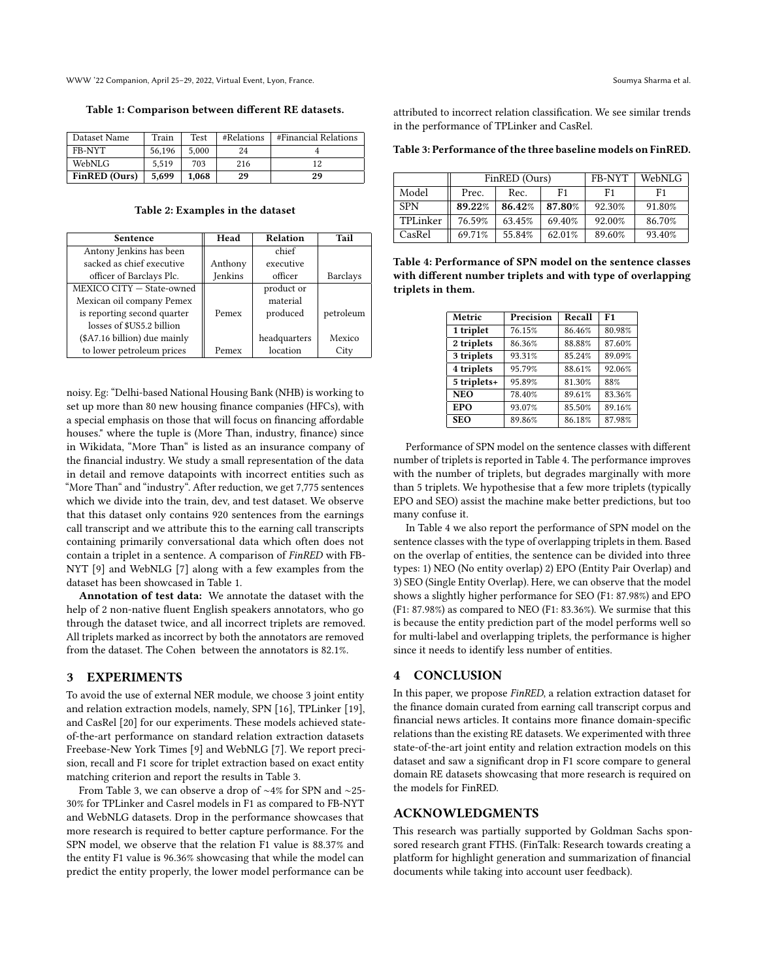<span id="page-1-0"></span>WWW '22 Companion, April 25–29, 2022, Virtual Event, Lyon, France. Soumya Sharma et al.

Table 1: Comparison between different RE datasets.

| Dataset Name         | Train  | <b>Test</b> | #Relations | #Financial Relations |
|----------------------|--------|-------------|------------|----------------------|
| FB-NYT               | 56.196 | 5.000       | 24         |                      |
| WebNLG               | 5.519  | 703         | 216        | 12                   |
| <b>FinRED</b> (Ours) | 5.699  | 1.068       | 29         | 29                   |

Table 2: Examples in the dataset

| Sentence                     | Head    | Relation     | Tail            |
|------------------------------|---------|--------------|-----------------|
| Antony Jenkins has been      |         | chief        |                 |
| sacked as chief executive    | Anthony | executive    |                 |
| officer of Barclays Plc.     | Jenkins | officer      | <b>Barclays</b> |
| MEXICO CITY - State-owned    |         | product or   |                 |
| Mexican oil company Pemex    |         | material     |                 |
| is reporting second quarter  | Pemex   | produced     | petroleum       |
| losses of \$US5.2 billion    |         |              |                 |
| (\$A7.16 billion) due mainly |         | headquarters | Mexico          |
| to lower petroleum prices    | Pemex   | location     | City            |

noisy. Eg: "Delhi-based National Housing Bank (NHB) is working to set up more than 80 new housing finance companies (HFCs), with a special emphasis on those that will focus on financing affordable houses." where the tuple is (More Than, industry, finance) since in Wikidata, "More Than" is listed as an insurance company of the financial industry. We study a small representation of the data in detail and remove datapoints with incorrect entities such as "More Than" and "industry". After reduction, we get 7,775 sentences which we divide into the train, dev, and test dataset. We observe that this dataset only contains 920 sentences from the earnings call transcript and we attribute this to the earning call transcripts containing primarily conversational data which often does not contain a triplet in a sentence. A comparison of FinRED with FB-NYT [\[9\]](#page-2-4) and WebNLG [\[7\]](#page-2-6) along with a few examples from the dataset has been showcased in Table [1.](#page-1-0)

Annotation of test data: We annotate the dataset with the help of 2 non-native fluent English speakers annotators, who go through the dataset twice, and all incorrect triplets are removed. All triplets marked as incorrect by both the annotators are removed from the dataset. The Cohen between the annotators is 82.1%.

#### 3 EXPERIMENTS

To avoid the use of external NER module, we choose 3 joint entity and relation extraction models, namely, SPN [\[16\]](#page-2-2), TPLinker [\[19\]](#page-2-3), and CasRel [\[20\]](#page-2-21) for our experiments. These models achieved stateof-the-art performance on standard relation extraction datasets Freebase-New York Times [\[9\]](#page-2-4) and WebNLG [\[7\]](#page-2-6). We report precision, recall and F1 score for triplet extraction based on exact entity matching criterion and report the results in Table [3.](#page-1-1)

From Table [3,](#page-1-1) we can observe a drop of ∼4% for SPN and ∼25- 30% for TPLinker and Casrel models in F1 as compared to FB-NYT and WebNLG datasets. Drop in the performance showcases that more research is required to better capture performance. For the SPN model, we observe that the relation F1 value is 88.37% and the entity F1 value is 96.36% showcasing that while the model can predict the entity properly, the lower model performance can be

attributed to incorrect relation classification. We see similar trends in the performance of TPLinker and CasRel.

<span id="page-1-1"></span>Table 3: Performance of the three baseline models on FinRED.

|            | FinRED (Ours) |        |        | FB-NYT | WebNLG |
|------------|---------------|--------|--------|--------|--------|
| Model      | Prec.         | Rec.   | F1     | F1     | F1     |
| <b>SPN</b> | 89.22%        | 86.42% | 87.80% | 92.30% | 91.80% |
| TPLinker   | 76.59%        | 63.45% | 69.40% | 92.00% | 86.70% |
| CasRel     | 69.71%        | 55.84% | 62.01% | 89.60% | 93.40% |

<span id="page-1-2"></span>Table 4: Performance of SPN model on the sentence classes with different number triplets and with type of overlapping triplets in them.

| Metric      | Precision | Recall | F <sub>1</sub> |
|-------------|-----------|--------|----------------|
| 1 triplet   | 76.15%    | 86.46% | 80.98%         |
| 2 triplets  | 86.36%    | 88.88% | 87.60%         |
| 3 triplets  | 93.31%    | 85.24% | 89.09%         |
| 4 triplets  | 95.79%    | 88.61% | 92.06%         |
| 5 triplets+ | 95.89%    | 81.30% | 88%            |
| <b>NEO</b>  | 78.40%    | 89.61% | 83.36%         |
| EPO         | 93.07%    | 85.50% | 89.16%         |
| <b>SEO</b>  | 89.86%    | 86.18% | 87.98%         |

Performance of SPN model on the sentence classes with different number of triplets is reported in Table [4.](#page-1-2) The performance improves with the number of triplets, but degrades marginally with more than 5 triplets. We hypothesise that a few more triplets (typically EPO and SEO) assist the machine make better predictions, but too many confuse it.

In Table [4](#page-1-2) we also report the performance of SPN model on the sentence classes with the type of overlapping triplets in them. Based on the overlap of entities, the sentence can be divided into three types: 1) NEO (No entity overlap) 2) EPO (Entity Pair Overlap) and 3) SEO (Single Entity Overlap). Here, we can observe that the model shows a slightly higher performance for SEO (F1: 87.98%) and EPO (F1: 87.98%) as compared to NEO (F1: 83.36%). We surmise that this is because the entity prediction part of the model performs well so for multi-label and overlapping triplets, the performance is higher since it needs to identify less number of entities.

#### 4 CONCLUSION

In this paper, we propose FinRED, a relation extraction dataset for the finance domain curated from earning call transcript corpus and financial news articles. It contains more finance domain-specific relations than the existing RE datasets. We experimented with three state-of-the-art joint entity and relation extraction models on this dataset and saw a significant drop in F1 score compare to general domain RE datasets showcasing that more research is required on the models for FinRED.

#### ACKNOWLEDGMENTS

This research was partially supported by Goldman Sachs sponsored research grant FTHS. (FinTalk: Research towards creating a platform for highlight generation and summarization of financial documents while taking into account user feedback).